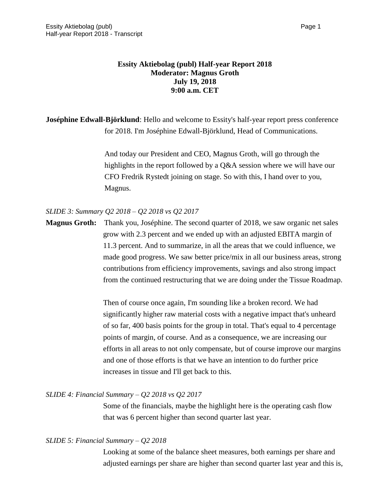# **Essity Aktiebolag (publ) Half-year Report 2018 Moderator: Magnus Groth July 19, 2018 9:00 a.m. CET**

**Joséphine Edwall-Björklund**: Hello and welcome to Essity's half-year report press conference for 2018. I'm Joséphine Edwall-Björklund, Head of Communications.

> And today our President and CEO, Magnus Groth, will go through the highlights in the report followed by a Q&A session where we will have our CFO Fredrik Rystedt joining on stage. So with this, I hand over to you, Magnus.

# *SLIDE 3: Summary Q2 2018 – Q2 2018 vs Q2 2017*

**Magnus Groth:** Thank you, Joséphine. The second quarter of 2018, we saw organic net sales grow with 2.3 percent and we ended up with an adjusted EBITA margin of 11.3 percent. And to summarize, in all the areas that we could influence, we made good progress. We saw better price/mix in all our business areas, strong contributions from efficiency improvements, savings and also strong impact from the continued restructuring that we are doing under the Tissue Roadmap.

> Then of course once again, I'm sounding like a broken record. We had significantly higher raw material costs with a negative impact that's unheard of so far, 400 basis points for the group in total. That's equal to 4 percentage points of margin, of course. And as a consequence, we are increasing our efforts in all areas to not only compensate, but of course improve our margins and one of those efforts is that we have an intention to do further price increases in tissue and I'll get back to this.

# *SLIDE 4: Financial Summary – Q2 2018 vs Q2 2017*

Some of the financials, maybe the highlight here is the operating cash flow that was 6 percent higher than second quarter last year.

# *SLIDE 5: Financial Summary – Q2 2018*

Looking at some of the balance sheet measures, both earnings per share and adjusted earnings per share are higher than second quarter last year and this is,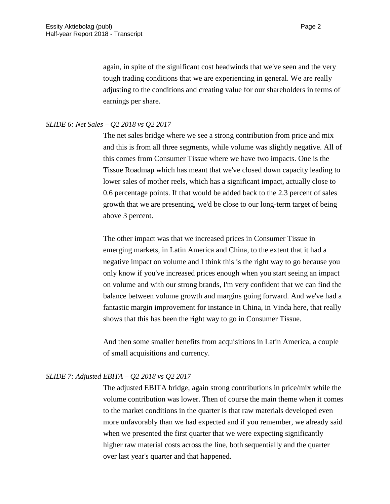again, in spite of the significant cost headwinds that we've seen and the very tough trading conditions that we are experiencing in general. We are really adjusting to the conditions and creating value for our shareholders in terms of earnings per share.

## *SLIDE 6: Net Sales – Q2 2018 vs Q2 2017*

The net sales bridge where we see a strong contribution from price and mix and this is from all three segments, while volume was slightly negative. All of this comes from Consumer Tissue where we have two impacts. One is the Tissue Roadmap which has meant that we've closed down capacity leading to lower sales of mother reels, which has a significant impact, actually close to 0.6 percentage points. If that would be added back to the 2.3 percent of sales growth that we are presenting, we'd be close to our long-term target of being above 3 percent.

The other impact was that we increased prices in Consumer Tissue in emerging markets, in Latin America and China, to the extent that it had a negative impact on volume and I think this is the right way to go because you only know if you've increased prices enough when you start seeing an impact on volume and with our strong brands, I'm very confident that we can find the balance between volume growth and margins going forward. And we've had a fantastic margin improvement for instance in China, in Vinda here, that really shows that this has been the right way to go in Consumer Tissue.

And then some smaller benefits from acquisitions in Latin America, a couple of small acquisitions and currency.

# *SLIDE 7: Adjusted EBITA – Q2 2018 vs Q2 2017*

The adjusted EBITA bridge, again strong contributions in price/mix while the volume contribution was lower. Then of course the main theme when it comes to the market conditions in the quarter is that raw materials developed even more unfavorably than we had expected and if you remember, we already said when we presented the first quarter that we were expecting significantly higher raw material costs across the line, both sequentially and the quarter over last year's quarter and that happened.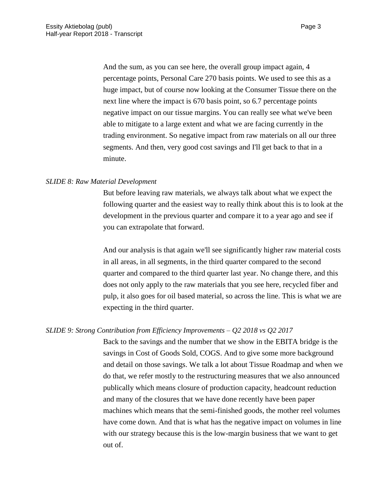And the sum, as you can see here, the overall group impact again, 4 percentage points, Personal Care 270 basis points. We used to see this as a huge impact, but of course now looking at the Consumer Tissue there on the next line where the impact is 670 basis point, so 6.7 percentage points negative impact on our tissue margins. You can really see what we've been able to mitigate to a large extent and what we are facing currently in the trading environment. So negative impact from raw materials on all our three segments. And then, very good cost savings and I'll get back to that in a minute.

## *SLIDE 8: Raw Material Development*

But before leaving raw materials, we always talk about what we expect the following quarter and the easiest way to really think about this is to look at the development in the previous quarter and compare it to a year ago and see if you can extrapolate that forward.

And our analysis is that again we'll see significantly higher raw material costs in all areas, in all segments, in the third quarter compared to the second quarter and compared to the third quarter last year. No change there, and this does not only apply to the raw materials that you see here, recycled fiber and pulp, it also goes for oil based material, so across the line. This is what we are expecting in the third quarter.

## *SLIDE 9: Strong Contribution from Efficiency Improvements – Q2 2018 vs Q2 2017*

Back to the savings and the number that we show in the EBITA bridge is the savings in Cost of Goods Sold, COGS. And to give some more background and detail on those savings. We talk a lot about Tissue Roadmap and when we do that, we refer mostly to the restructuring measures that we also announced publically which means closure of production capacity, headcount reduction and many of the closures that we have done recently have been paper machines which means that the semi-finished goods, the mother reel volumes have come down. And that is what has the negative impact on volumes in line with our strategy because this is the low-margin business that we want to get out of.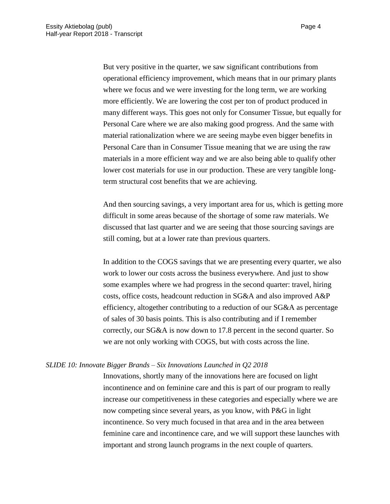But very positive in the quarter, we saw significant contributions from operational efficiency improvement, which means that in our primary plants where we focus and we were investing for the long term, we are working more efficiently. We are lowering the cost per ton of product produced in many different ways. This goes not only for Consumer Tissue, but equally for Personal Care where we are also making good progress. And the same with material rationalization where we are seeing maybe even bigger benefits in Personal Care than in Consumer Tissue meaning that we are using the raw materials in a more efficient way and we are also being able to qualify other lower cost materials for use in our production. These are very tangible longterm structural cost benefits that we are achieving.

And then sourcing savings, a very important area for us, which is getting more difficult in some areas because of the shortage of some raw materials. We discussed that last quarter and we are seeing that those sourcing savings are still coming, but at a lower rate than previous quarters.

In addition to the COGS savings that we are presenting every quarter, we also work to lower our costs across the business everywhere. And just to show some examples where we had progress in the second quarter: travel, hiring costs, office costs, headcount reduction in SG&A and also improved A&P efficiency, altogether contributing to a reduction of our SG&A as percentage of sales of 30 basis points. This is also contributing and if I remember correctly, our SG&A is now down to 17.8 percent in the second quarter. So we are not only working with COGS, but with costs across the line.

#### *SLIDE 10: Innovate Bigger Brands – Six Innovations Launched in Q2 2018*

Innovations, shortly many of the innovations here are focused on light incontinence and on feminine care and this is part of our program to really increase our competitiveness in these categories and especially where we are now competing since several years, as you know, with P&G in light incontinence. So very much focused in that area and in the area between feminine care and incontinence care, and we will support these launches with important and strong launch programs in the next couple of quarters.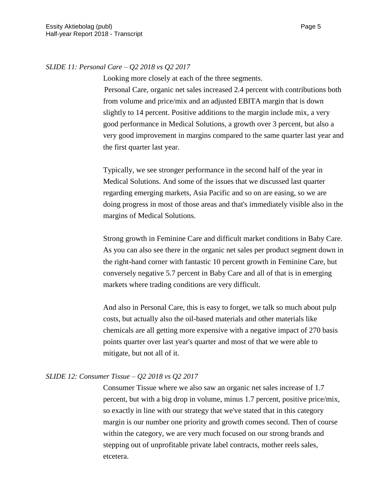## *SLIDE 11: Personal Care – Q2 2018 vs Q2 2017*

Looking more closely at each of the three segments.

Personal Care, organic net sales increased 2.4 percent with contributions both from volume and price/mix and an adjusted EBITA margin that is down slightly to 14 percent. Positive additions to the margin include mix, a very good performance in Medical Solutions, a growth over 3 percent, but also a very good improvement in margins compared to the same quarter last year and the first quarter last year.

Typically, we see stronger performance in the second half of the year in Medical Solutions. And some of the issues that we discussed last quarter regarding emerging markets, Asia Pacific and so on are easing, so we are doing progress in most of those areas and that's immediately visible also in the margins of Medical Solutions.

Strong growth in Feminine Care and difficult market conditions in Baby Care. As you can also see there in the organic net sales per product segment down in the right-hand corner with fantastic 10 percent growth in Feminine Care, but conversely negative 5.7 percent in Baby Care and all of that is in emerging markets where trading conditions are very difficult.

And also in Personal Care, this is easy to forget, we talk so much about pulp costs, but actually also the oil-based materials and other materials like chemicals are all getting more expensive with a negative impact of 270 basis points quarter over last year's quarter and most of that we were able to mitigate, but not all of it.

## *SLIDE 12: Consumer Tissue – Q2 2018 vs Q2 2017*

Consumer Tissue where we also saw an organic net sales increase of 1.7 percent, but with a big drop in volume, minus 1.7 percent, positive price/mix, so exactly in line with our strategy that we've stated that in this category margin is our number one priority and growth comes second. Then of course within the category, we are very much focused on our strong brands and stepping out of unprofitable private label contracts, mother reels sales, etcetera.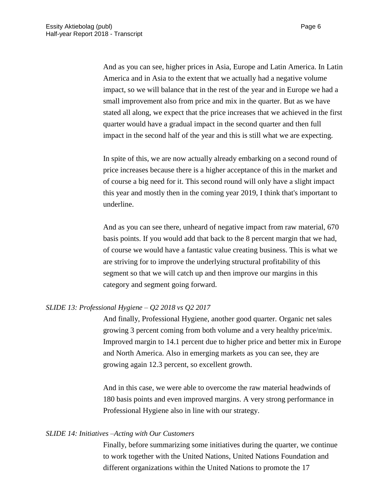And as you can see, higher prices in Asia, Europe and Latin America. In Latin America and in Asia to the extent that we actually had a negative volume impact, so we will balance that in the rest of the year and in Europe we had a small improvement also from price and mix in the quarter. But as we have stated all along, we expect that the price increases that we achieved in the first quarter would have a gradual impact in the second quarter and then full impact in the second half of the year and this is still what we are expecting.

In spite of this, we are now actually already embarking on a second round of price increases because there is a higher acceptance of this in the market and of course a big need for it. This second round will only have a slight impact this year and mostly then in the coming year 2019, I think that's important to underline.

And as you can see there, unheard of negative impact from raw material, 670 basis points. If you would add that back to the 8 percent margin that we had, of course we would have a fantastic value creating business. This is what we are striving for to improve the underlying structural profitability of this segment so that we will catch up and then improve our margins in this category and segment going forward.

# *SLIDE 13: Professional Hygiene – Q2 2018 vs Q2 2017*

And finally, Professional Hygiene, another good quarter. Organic net sales growing 3 percent coming from both volume and a very healthy price/mix. Improved margin to 14.1 percent due to higher price and better mix in Europe and North America. Also in emerging markets as you can see, they are growing again 12.3 percent, so excellent growth.

And in this case, we were able to overcome the raw material headwinds of 180 basis points and even improved margins. A very strong performance in Professional Hygiene also in line with our strategy.

## *SLIDE 14: Initiatives –Acting with Our Customers*

Finally, before summarizing some initiatives during the quarter, we continue to work together with the United Nations, United Nations Foundation and different organizations within the United Nations to promote the 17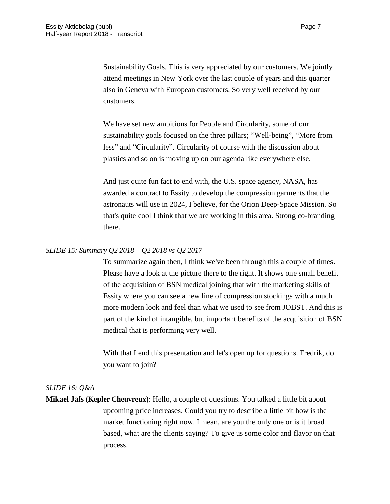Sustainability Goals. This is very appreciated by our customers. We jointly attend meetings in New York over the last couple of years and this quarter also in Geneva with European customers. So very well received by our customers.

We have set new ambitions for People and Circularity, some of our sustainability goals focused on the three pillars; "Well-being", "More from less" and "Circularity". Circularity of course with the discussion about plastics and so on is moving up on our agenda like everywhere else.

And just quite fun fact to end with, the U.S. space agency, NASA, has awarded a contract to Essity to develop the compression garments that the astronauts will use in 2024, I believe, for the Orion Deep-Space Mission. So that's quite cool I think that we are working in this area. Strong co-branding there.

## *SLIDE 15: Summary Q2 2018 – Q2 2018 vs Q2 2017*

To summarize again then, I think we've been through this a couple of times. Please have a look at the picture there to the right. It shows one small benefit of the acquisition of BSN medical joining that with the marketing skills of Essity where you can see a new line of compression stockings with a much more modern look and feel than what we used to see from JOBST. And this is part of the kind of intangible, but important benefits of the acquisition of BSN medical that is performing very well.

With that I end this presentation and let's open up for questions. Fredrik, do you want to join?

# *SLIDE 16: Q&A*

**Mikael Jåfs (Kepler Cheuvreux)**: Hello, a couple of questions. You talked a little bit about upcoming price increases. Could you try to describe a little bit how is the market functioning right now. I mean, are you the only one or is it broad based, what are the clients saying? To give us some color and flavor on that process.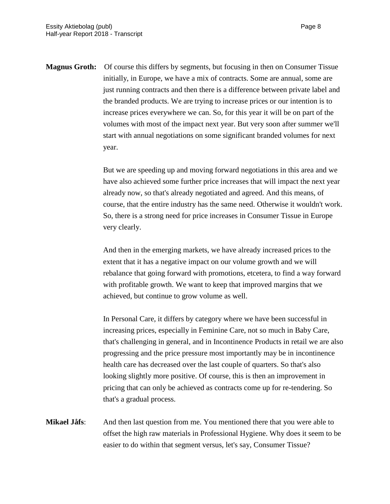**Magnus Groth:** Of course this differs by segments, but focusing in then on Consumer Tissue initially, in Europe, we have a mix of contracts. Some are annual, some are just running contracts and then there is a difference between private label and the branded products. We are trying to increase prices or our intention is to increase prices everywhere we can. So, for this year it will be on part of the volumes with most of the impact next year. But very soon after summer we'll start with annual negotiations on some significant branded volumes for next year.

> But we are speeding up and moving forward negotiations in this area and we have also achieved some further price increases that will impact the next year already now, so that's already negotiated and agreed. And this means, of course, that the entire industry has the same need. Otherwise it wouldn't work. So, there is a strong need for price increases in Consumer Tissue in Europe very clearly.

> And then in the emerging markets, we have already increased prices to the extent that it has a negative impact on our volume growth and we will rebalance that going forward with promotions, etcetera, to find a way forward with profitable growth. We want to keep that improved margins that we achieved, but continue to grow volume as well.

> In Personal Care, it differs by category where we have been successful in increasing prices, especially in Feminine Care, not so much in Baby Care, that's challenging in general, and in Incontinence Products in retail we are also progressing and the price pressure most importantly may be in incontinence health care has decreased over the last couple of quarters. So that's also looking slightly more positive. Of course, this is then an improvement in pricing that can only be achieved as contracts come up for re-tendering. So that's a gradual process.

**Mikael Jåfs**: And then last question from me. You mentioned there that you were able to offset the high raw materials in Professional Hygiene. Why does it seem to be easier to do within that segment versus, let's say, Consumer Tissue?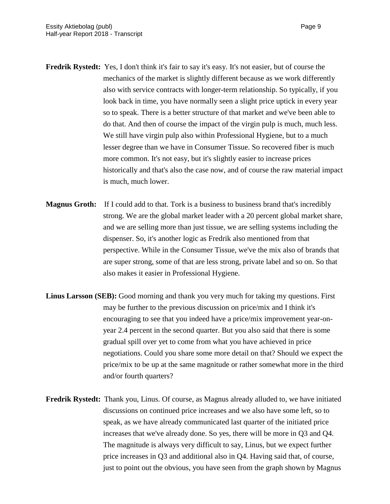- **Fredrik Rystedt:** Yes, I don't think it's fair to say it's easy. It's not easier, but of course the mechanics of the market is slightly different because as we work differently also with service contracts with longer-term relationship. So typically, if you look back in time, you have normally seen a slight price uptick in every year so to speak. There is a better structure of that market and we've been able to do that. And then of course the impact of the virgin pulp is much, much less. We still have virgin pulp also within Professional Hygiene, but to a much lesser degree than we have in Consumer Tissue. So recovered fiber is much more common. It's not easy, but it's slightly easier to increase prices historically and that's also the case now, and of course the raw material impact is much, much lower.
- **Magnus Groth:** If I could add to that. Tork is a business to business brand that's incredibly strong. We are the global market leader with a 20 percent global market share, and we are selling more than just tissue, we are selling systems including the dispenser. So, it's another logic as Fredrik also mentioned from that perspective. While in the Consumer Tissue, we've the mix also of brands that are super strong, some of that are less strong, private label and so on. So that also makes it easier in Professional Hygiene.
- **Linus Larsson (SEB):** Good morning and thank you very much for taking my questions. First may be further to the previous discussion on price/mix and I think it's encouraging to see that you indeed have a price/mix improvement year-onyear 2.4 percent in the second quarter. But you also said that there is some gradual spill over yet to come from what you have achieved in price negotiations. Could you share some more detail on that? Should we expect the price/mix to be up at the same magnitude or rather somewhat more in the third and/or fourth quarters?
- **Fredrik Rystedt:** Thank you, Linus. Of course, as Magnus already alluded to, we have initiated discussions on continued price increases and we also have some left, so to speak, as we have already communicated last quarter of the initiated price increases that we've already done. So yes, there will be more in Q3 and Q4. The magnitude is always very difficult to say, Linus, but we expect further price increases in Q3 and additional also in Q4. Having said that, of course, just to point out the obvious, you have seen from the graph shown by Magnus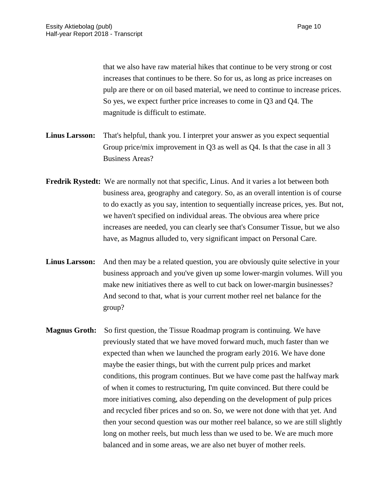that we also have raw material hikes that continue to be very strong or cost increases that continues to be there. So for us, as long as price increases on pulp are there or on oil based material, we need to continue to increase prices. So yes, we expect further price increases to come in Q3 and Q4. The magnitude is difficult to estimate.

- **Linus Larsson:** That's helpful, thank you. I interpret your answer as you expect sequential Group price/mix improvement in Q3 as well as Q4. Is that the case in all 3 Business Areas?
- **Fredrik Rystedt:** We are normally not that specific, Linus. And it varies a lot between both business area, geography and category. So, as an overall intention is of course to do exactly as you say, intention to sequentially increase prices, yes. But not, we haven't specified on individual areas. The obvious area where price increases are needed, you can clearly see that's Consumer Tissue, but we also have, as Magnus alluded to, very significant impact on Personal Care.
- Linus Larsson: And then may be a related question, you are obviously quite selective in your business approach and you've given up some lower-margin volumes. Will you make new initiatives there as well to cut back on lower-margin businesses? And second to that, what is your current mother reel net balance for the group?
- **Magnus Groth:** So first question, the Tissue Roadmap program is continuing. We have previously stated that we have moved forward much, much faster than we expected than when we launched the program early 2016. We have done maybe the easier things, but with the current pulp prices and market conditions, this program continues. But we have come past the halfway mark of when it comes to restructuring, I'm quite convinced. But there could be more initiatives coming, also depending on the development of pulp prices and recycled fiber prices and so on. So, we were not done with that yet. And then your second question was our mother reel balance, so we are still slightly long on mother reels, but much less than we used to be. We are much more balanced and in some areas, we are also net buyer of mother reels.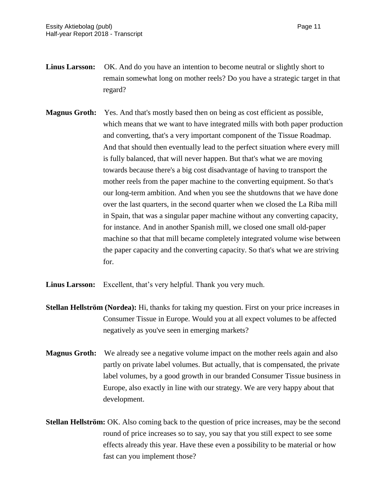- **Linus Larsson:** OK. And do you have an intention to become neutral or slightly short to remain somewhat long on mother reels? Do you have a strategic target in that regard?
- **Magnus Groth:** Yes. And that's mostly based then on being as cost efficient as possible, which means that we want to have integrated mills with both paper production and converting, that's a very important component of the Tissue Roadmap. And that should then eventually lead to the perfect situation where every mill is fully balanced, that will never happen. But that's what we are moving towards because there's a big cost disadvantage of having to transport the mother reels from the paper machine to the converting equipment. So that's our long-term ambition. And when you see the shutdowns that we have done over the last quarters, in the second quarter when we closed the La Riba mill in Spain, that was a singular paper machine without any converting capacity, for instance. And in another Spanish mill, we closed one small old-paper machine so that that mill became completely integrated volume wise between the paper capacity and the converting capacity. So that's what we are striving for.
- **Linus Larsson:** Excellent, that's very helpful. Thank you very much.
- **Stellan Hellström (Nordea):** Hi, thanks for taking my question. First on your price increases in Consumer Tissue in Europe. Would you at all expect volumes to be affected negatively as you've seen in emerging markets?
- **Magnus Groth:** We already see a negative volume impact on the mother reels again and also partly on private label volumes. But actually, that is compensated, the private label volumes, by a good growth in our branded Consumer Tissue business in Europe, also exactly in line with our strategy. We are very happy about that development.
- **Stellan Hellström:** OK. Also coming back to the question of price increases, may be the second round of price increases so to say, you say that you still expect to see some effects already this year. Have these even a possibility to be material or how fast can you implement those?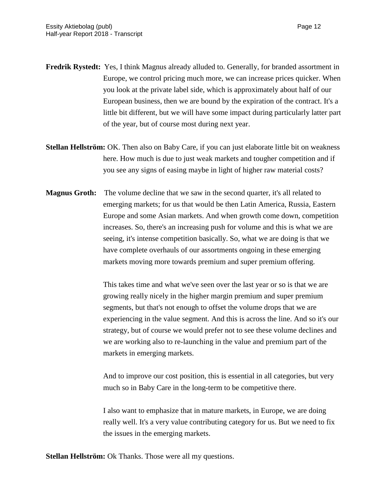- **Fredrik Rystedt:** Yes, I think Magnus already alluded to. Generally, for branded assortment in Europe, we control pricing much more, we can increase prices quicker. When you look at the private label side, which is approximately about half of our European business, then we are bound by the expiration of the contract. It's a little bit different, but we will have some impact during particularly latter part of the year, but of course most during next year.
- **Stellan Hellström:** OK. Then also on Baby Care, if you can just elaborate little bit on weakness here. How much is due to just weak markets and tougher competition and if you see any signs of easing maybe in light of higher raw material costs?
- **Magnus Groth:** The volume decline that we saw in the second quarter, it's all related to emerging markets; for us that would be then Latin America, Russia, Eastern Europe and some Asian markets. And when growth come down, competition increases. So, there's an increasing push for volume and this is what we are seeing, it's intense competition basically. So, what we are doing is that we have complete overhauls of our assortments ongoing in these emerging markets moving more towards premium and super premium offering.

This takes time and what we've seen over the last year or so is that we are growing really nicely in the higher margin premium and super premium segments, but that's not enough to offset the volume drops that we are experiencing in the value segment. And this is across the line. And so it's our strategy, but of course we would prefer not to see these volume declines and we are working also to re-launching in the value and premium part of the markets in emerging markets.

And to improve our cost position, this is essential in all categories, but very much so in Baby Care in the long-term to be competitive there.

I also want to emphasize that in mature markets, in Europe, we are doing really well. It's a very value contributing category for us. But we need to fix the issues in the emerging markets.

**Stellan Hellström:** Ok Thanks. Those were all my questions.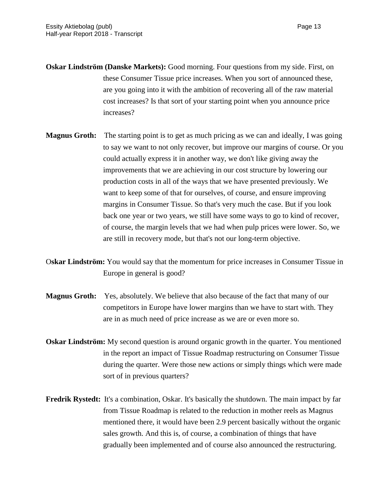- **Oskar Lindström (Danske Markets):** Good morning. Four questions from my side. First, on these Consumer Tissue price increases. When you sort of announced these, are you going into it with the ambition of recovering all of the raw material cost increases? Is that sort of your starting point when you announce price increases?
- **Magnus Groth:** The starting point is to get as much pricing as we can and ideally, I was going to say we want to not only recover, but improve our margins of course. Or you could actually express it in another way, we don't like giving away the improvements that we are achieving in our cost structure by lowering our production costs in all of the ways that we have presented previously. We want to keep some of that for ourselves, of course, and ensure improving margins in Consumer Tissue. So that's very much the case. But if you look back one year or two years, we still have some ways to go to kind of recover, of course, the margin levels that we had when pulp prices were lower. So, we are still in recovery mode, but that's not our long-term objective.
- O**skar Lindström:** You would say that the momentum for price increases in Consumer Tissue in Europe in general is good?
- **Magnus Groth:** Yes, absolutely. We believe that also because of the fact that many of our competitors in Europe have lower margins than we have to start with. They are in as much need of price increase as we are or even more so.
- **Oskar Lindström:** My second question is around organic growth in the quarter. You mentioned in the report an impact of Tissue Roadmap restructuring on Consumer Tissue during the quarter. Were those new actions or simply things which were made sort of in previous quarters?
- **Fredrik Rystedt:** It's a combination, Oskar. It's basically the shutdown. The main impact by far from Tissue Roadmap is related to the reduction in mother reels as Magnus mentioned there, it would have been 2.9 percent basically without the organic sales growth. And this is, of course, a combination of things that have gradually been implemented and of course also announced the restructuring.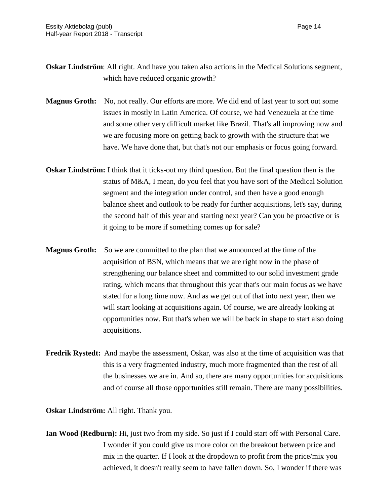- **Oskar Lindström**: All right. And have you taken also actions in the Medical Solutions segment, which have reduced organic growth?
- **Magnus Groth:** No, not really. Our efforts are more. We did end of last year to sort out some issues in mostly in Latin America. Of course, we had Venezuela at the time and some other very difficult market like Brazil. That's all improving now and we are focusing more on getting back to growth with the structure that we have. We have done that, but that's not our emphasis or focus going forward.
- **Oskar Lindström:** I think that it ticks-out my third question. But the final question then is the status of M&A, I mean, do you feel that you have sort of the Medical Solution segment and the integration under control, and then have a good enough balance sheet and outlook to be ready for further acquisitions, let's say, during the second half of this year and starting next year? Can you be proactive or is it going to be more if something comes up for sale?
- **Magnus Groth:** So we are committed to the plan that we announced at the time of the acquisition of BSN, which means that we are right now in the phase of strengthening our balance sheet and committed to our solid investment grade rating, which means that throughout this year that's our main focus as we have stated for a long time now. And as we get out of that into next year, then we will start looking at acquisitions again. Of course, we are already looking at opportunities now. But that's when we will be back in shape to start also doing acquisitions.
- **Fredrik Rystedt:** And maybe the assessment, Oskar, was also at the time of acquisition was that this is a very fragmented industry, much more fragmented than the rest of all the businesses we are in. And so, there are many opportunities for acquisitions and of course all those opportunities still remain. There are many possibilities.

**Oskar Lindström:** All right. Thank you.

**Ian Wood (Redburn):** Hi, just two from my side. So just if I could start off with Personal Care. I wonder if you could give us more color on the breakout between price and mix in the quarter. If I look at the dropdown to profit from the price/mix you achieved, it doesn't really seem to have fallen down. So, I wonder if there was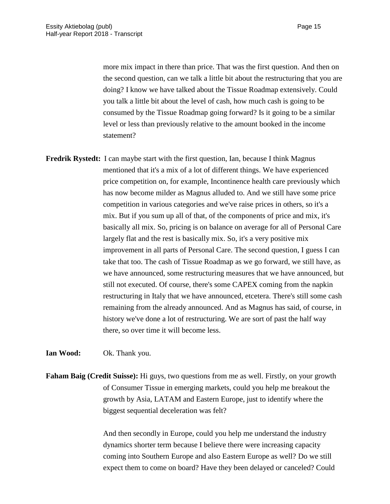more mix impact in there than price. That was the first question. And then on the second question, can we talk a little bit about the restructuring that you are doing? I know we have talked about the Tissue Roadmap extensively. Could you talk a little bit about the level of cash, how much cash is going to be consumed by the Tissue Roadmap going forward? Is it going to be a similar level or less than previously relative to the amount booked in the income statement?

**Fredrik Rystedt:** I can maybe start with the first question, Ian, because I think Magnus mentioned that it's a mix of a lot of different things. We have experienced price competition on, for example, Incontinence health care previously which has now become milder as Magnus alluded to. And we still have some price competition in various categories and we've raise prices in others, so it's a mix. But if you sum up all of that, of the components of price and mix, it's basically all mix. So, pricing is on balance on average for all of Personal Care largely flat and the rest is basically mix. So, it's a very positive mix improvement in all parts of Personal Care. The second question, I guess I can take that too. The cash of Tissue Roadmap as we go forward, we still have, as we have announced, some restructuring measures that we have announced, but still not executed. Of course, there's some CAPEX coming from the napkin restructuring in Italy that we have announced, etcetera. There's still some cash remaining from the already announced. And as Magnus has said, of course, in history we've done a lot of restructuring. We are sort of past the half way there, so over time it will become less.

**Ian Wood:** Ok. Thank you.

**Faham Baig (Credit Suisse):** Hi guys, two questions from me as well. Firstly, on your growth of Consumer Tissue in emerging markets, could you help me breakout the growth by Asia, LATAM and Eastern Europe, just to identify where the biggest sequential deceleration was felt?

> And then secondly in Europe, could you help me understand the industry dynamics shorter term because I believe there were increasing capacity coming into Southern Europe and also Eastern Europe as well? Do we still expect them to come on board? Have they been delayed or canceled? Could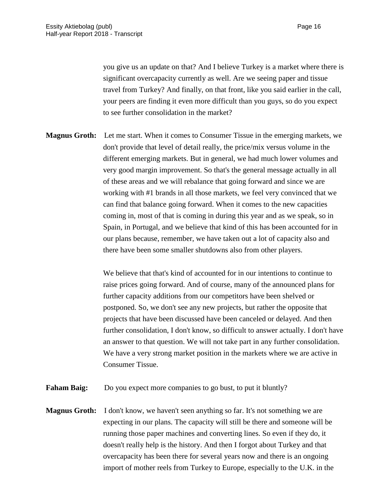you give us an update on that? And I believe Turkey is a market where there is significant overcapacity currently as well. Are we seeing paper and tissue travel from Turkey? And finally, on that front, like you said earlier in the call, your peers are finding it even more difficult than you guys, so do you expect to see further consolidation in the market?

**Magnus Groth:** Let me start. When it comes to Consumer Tissue in the emerging markets, we don't provide that level of detail really, the price/mix versus volume in the different emerging markets. But in general, we had much lower volumes and very good margin improvement. So that's the general message actually in all of these areas and we will rebalance that going forward and since we are working with #1 brands in all those markets, we feel very convinced that we can find that balance going forward. When it comes to the new capacities coming in, most of that is coming in during this year and as we speak, so in Spain, in Portugal, and we believe that kind of this has been accounted for in our plans because, remember, we have taken out a lot of capacity also and there have been some smaller shutdowns also from other players.

> We believe that that's kind of accounted for in our intentions to continue to raise prices going forward. And of course, many of the announced plans for further capacity additions from our competitors have been shelved or postponed. So, we don't see any new projects, but rather the opposite that projects that have been discussed have been canceled or delayed. And then further consolidation, I don't know, so difficult to answer actually. I don't have an answer to that question. We will not take part in any further consolidation. We have a very strong market position in the markets where we are active in Consumer Tissue.

**Faham Baig:** Do you expect more companies to go bust, to put it bluntly?

**Magnus Groth:** I don't know, we haven't seen anything so far. It's not something we are expecting in our plans. The capacity will still be there and someone will be running those paper machines and converting lines. So even if they do, it doesn't really help is the history. And then I forgot about Turkey and that overcapacity has been there for several years now and there is an ongoing import of mother reels from Turkey to Europe, especially to the U.K. in the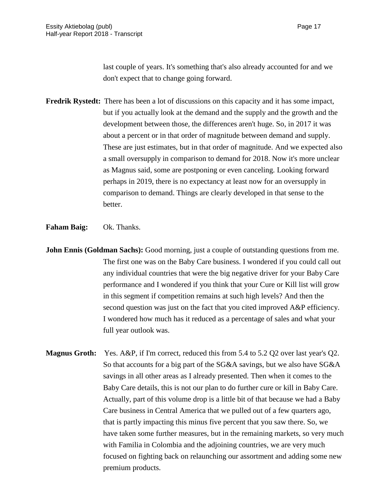last couple of years. It's something that's also already accounted for and we don't expect that to change going forward.

- **Fredrik Rystedt:** There has been a lot of discussions on this capacity and it has some impact, but if you actually look at the demand and the supply and the growth and the development between those, the differences aren't huge. So, in 2017 it was about a percent or in that order of magnitude between demand and supply. These are just estimates, but in that order of magnitude. And we expected also a small oversupply in comparison to demand for 2018. Now it's more unclear as Magnus said, some are postponing or even canceling. Looking forward perhaps in 2019, there is no expectancy at least now for an oversupply in comparison to demand. Things are clearly developed in that sense to the better.
- **Faham Baig:** Ok. Thanks.
- **John Ennis (Goldman Sachs):** Good morning, just a couple of outstanding questions from me. The first one was on the Baby Care business. I wondered if you could call out any individual countries that were the big negative driver for your Baby Care performance and I wondered if you think that your Cure or Kill list will grow in this segment if competition remains at such high levels? And then the second question was just on the fact that you cited improved A&P efficiency. I wondered how much has it reduced as a percentage of sales and what your full year outlook was.
- **Magnus Groth:** Yes. A&P, if I'm correct, reduced this from 5.4 to 5.2 Q2 over last year's Q2. So that accounts for a big part of the SG&A savings, but we also have SG&A savings in all other areas as I already presented. Then when it comes to the Baby Care details, this is not our plan to do further cure or kill in Baby Care. Actually, part of this volume drop is a little bit of that because we had a Baby Care business in Central America that we pulled out of a few quarters ago, that is partly impacting this minus five percent that you saw there. So, we have taken some further measures, but in the remaining markets, so very much with Familia in Colombia and the adjoining countries, we are very much focused on fighting back on relaunching our assortment and adding some new premium products.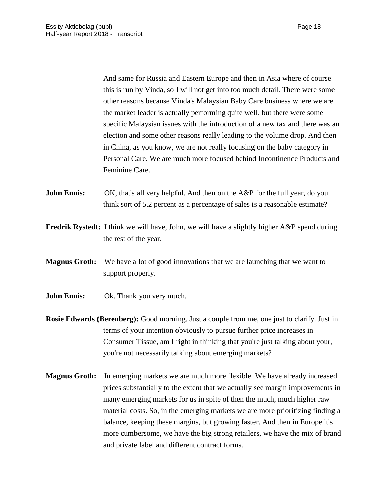And same for Russia and Eastern Europe and then in Asia where of course this is run by Vinda, so I will not get into too much detail. There were some other reasons because Vinda's Malaysian Baby Care business where we are the market leader is actually performing quite well, but there were some specific Malaysian issues with the introduction of a new tax and there was an election and some other reasons really leading to the volume drop. And then in China, as you know, we are not really focusing on the baby category in Personal Care. We are much more focused behind Incontinence Products and Feminine Care.

**John Ennis:** OK, that's all very helpful. And then on the A&P for the full year, do you think sort of 5.2 percent as a percentage of sales is a reasonable estimate?

- **Fredrik Rystedt:** I think we will have, John, we will have a slightly higher A&P spend during the rest of the year.
- **Magnus Groth:** We have a lot of good innovations that we are launching that we want to support properly.
- **John Ennis:** Ok. Thank you very much.
- **Rosie Edwards (Berenberg):** Good morning. Just a couple from me, one just to clarify. Just in terms of your intention obviously to pursue further price increases in Consumer Tissue, am I right in thinking that you're just talking about your, you're not necessarily talking about emerging markets?
- **Magnus Groth:** In emerging markets we are much more flexible. We have already increased prices substantially to the extent that we actually see margin improvements in many emerging markets for us in spite of then the much, much higher raw material costs. So, in the emerging markets we are more prioritizing finding a balance, keeping these margins, but growing faster. And then in Europe it's more cumbersome, we have the big strong retailers, we have the mix of brand and private label and different contract forms.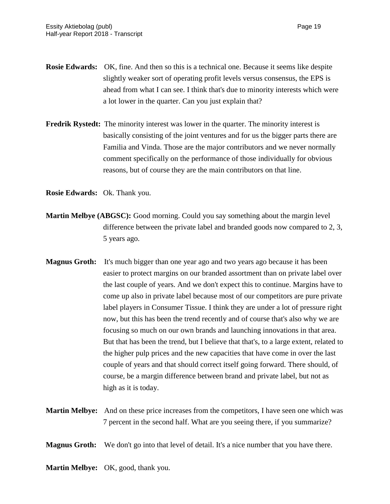- **Rosie Edwards:** OK, fine. And then so this is a technical one. Because it seems like despite slightly weaker sort of operating profit levels versus consensus, the EPS is ahead from what I can see. I think that's due to minority interests which were a lot lower in the quarter. Can you just explain that?
- **Fredrik Rystedt:** The minority interest was lower in the quarter. The minority interest is basically consisting of the joint ventures and for us the bigger parts there are Familia and Vinda. Those are the major contributors and we never normally comment specifically on the performance of those individually for obvious reasons, but of course they are the main contributors on that line.

**Rosie Edwards:** Ok. Thank you.

- **Martin Melbye (ABGSC):** Good morning. Could you say something about the margin level difference between the private label and branded goods now compared to 2, 3, 5 years ago.
- **Magnus Groth:** It's much bigger than one year ago and two years ago because it has been easier to protect margins on our branded assortment than on private label over the last couple of years. And we don't expect this to continue. Margins have to come up also in private label because most of our competitors are pure private label players in Consumer Tissue. I think they are under a lot of pressure right now, but this has been the trend recently and of course that's also why we are focusing so much on our own brands and launching innovations in that area. But that has been the trend, but I believe that that's, to a large extent, related to the higher pulp prices and the new capacities that have come in over the last couple of years and that should correct itself going forward. There should, of course, be a margin difference between brand and private label, but not as high as it is today.
- **Martin Melbye:** And on these price increases from the competitors, I have seen one which was 7 percent in the second half. What are you seeing there, if you summarize?
- **Magnus Groth:** We don't go into that level of detail. It's a nice number that you have there.
- **Martin Melbye:** OK, good, thank you.